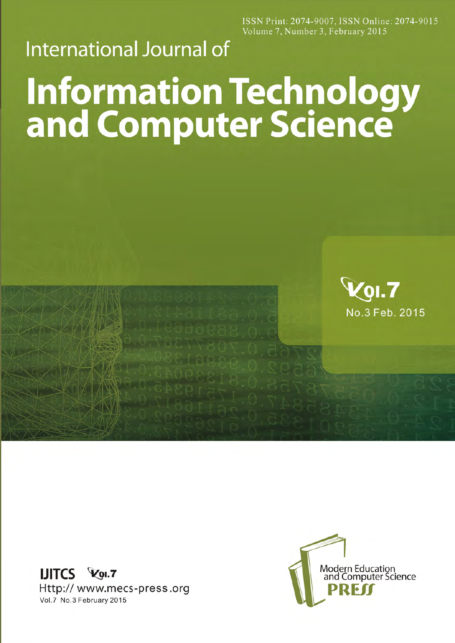ISSN Print: 2074-9007, ISSN Online: 2074-9015 Volume 7, Number 3, February 2015

## **International Journal of**

## **Information Technology<br>and Computer Science**



LIITCS Vol.7 Http:// www.mecs-press.org Vol.7 No.3 February 2015